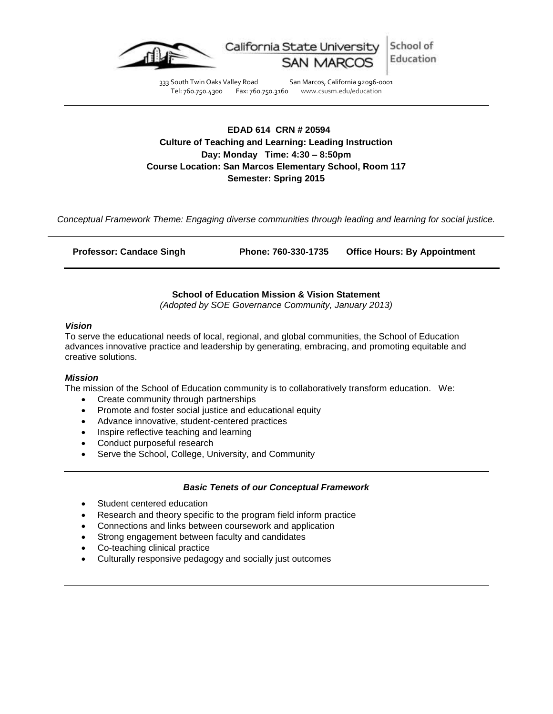

333 South Twin Oaks Valley Road San Marcos, California 92096-0001<br>Tel: 760.750.4300 Fax: 760.750.3160 www.csusm.edu/education Tel: 760.750.4300 Fax: 760.750.3160 www.csusm.edu/education

**EDAD 614 CRN # 20594 Culture of Teaching and Learning: Leading Instruction Day: Monday Time: 4:30 – 8:50pm Course Location: San Marcos Elementary School, Room 117 Semester: Spring 2015**

*Conceptual Framework Theme: Engaging diverse communities through leading and learning for social justice.*

| <b>Professor: Candace Singh</b> | Phone: 760-330-1735 | <b>Office Hours: By Appointment</b> |
|---------------------------------|---------------------|-------------------------------------|
|                                 |                     |                                     |

**School of Education Mission & Vision Statement**

*(Adopted by SOE Governance Community, January 2013)*

#### *Vision*

To serve the educational needs of local, regional, and global communities, the School of Education advances innovative practice and leadership by generating, embracing, and promoting equitable and creative solutions.

### *Mission*

The mission of the School of Education community is to collaboratively transform education. We:

- Create community through partnerships
- Promote and foster social justice and educational equity
- Advance innovative, student-centered practices
- Inspire reflective teaching and learning
- Conduct purposeful research
- Serve the School, College, University, and Community

### *Basic Tenets of our Conceptual Framework*

- Student centered education
- Research and theory specific to the program field inform practice
- Connections and links between coursework and application
- Strong engagement between faculty and candidates
- Co-teaching clinical practice
- Culturally responsive pedagogy and socially just outcomes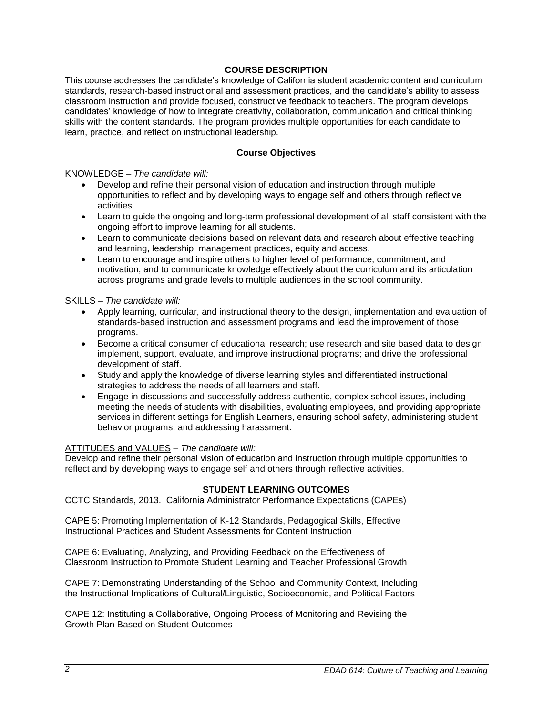# **COURSE DESCRIPTION**

This course addresses the candidate's knowledge of California student academic content and curriculum standards, research-based instructional and assessment practices, and the candidate's ability to assess classroom instruction and provide focused, constructive feedback to teachers. The program develops candidates' knowledge of how to integrate creativity, collaboration, communication and critical thinking skills with the content standards. The program provides multiple opportunities for each candidate to learn, practice, and reflect on instructional leadership.

## **Course Objectives**

## KNOWLEDGE *– The candidate will:*

- Develop and refine their personal vision of education and instruction through multiple opportunities to reflect and by developing ways to engage self and others through reflective activities.
- Learn to guide the ongoing and long-term professional development of all staff consistent with the ongoing effort to improve learning for all students.
- Learn to communicate decisions based on relevant data and research about effective teaching and learning, leadership, management practices, equity and access.
- Learn to encourage and inspire others to higher level of performance, commitment, and motivation, and to communicate knowledge effectively about the curriculum and its articulation across programs and grade levels to multiple audiences in the school community.

## SKILLS – *The candidate will:*

- Apply learning, curricular, and instructional theory to the design, implementation and evaluation of standards-based instruction and assessment programs and lead the improvement of those programs.
- Become a critical consumer of educational research; use research and site based data to design implement, support, evaluate, and improve instructional programs; and drive the professional development of staff.
- Study and apply the knowledge of diverse learning styles and differentiated instructional strategies to address the needs of all learners and staff.
- Engage in discussions and successfully address authentic, complex school issues, including meeting the needs of students with disabilities, evaluating employees, and providing appropriate services in different settings for English Learners, ensuring school safety, administering student behavior programs, and addressing harassment.

# ATTITUDES and VALUES – *The candidate will:*

Develop and refine their personal vision of education and instruction through multiple opportunities to reflect and by developing ways to engage self and others through reflective activities.

### **STUDENT LEARNING OUTCOMES**

CCTC Standards, 2013. California Administrator Performance Expectations (CAPEs)

CAPE 5: Promoting Implementation of K-12 Standards, Pedagogical Skills, Effective Instructional Practices and Student Assessments for Content Instruction

CAPE 6: Evaluating, Analyzing, and Providing Feedback on the Effectiveness of Classroom Instruction to Promote Student Learning and Teacher Professional Growth

CAPE 7: Demonstrating Understanding of the School and Community Context, Including the Instructional Implications of Cultural/Linguistic, Socioeconomic, and Political Factors

CAPE 12: Instituting a Collaborative, Ongoing Process of Monitoring and Revising the Growth Plan Based on Student Outcomes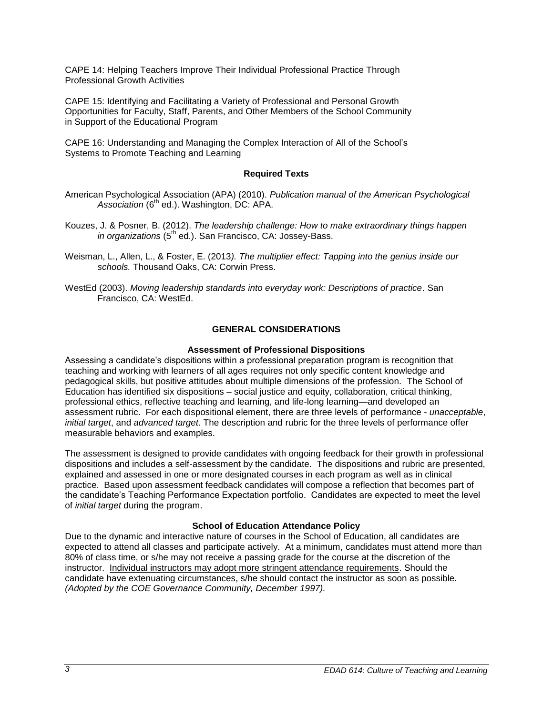CAPE 14: Helping Teachers Improve Their Individual Professional Practice Through Professional Growth Activities

CAPE 15: Identifying and Facilitating a Variety of Professional and Personal Growth Opportunities for Faculty, Staff, Parents, and Other Members of the School Community in Support of the Educational Program

CAPE 16: Understanding and Managing the Complex Interaction of All of the School's Systems to Promote Teaching and Learning

# **Required Texts**

- American Psychological Association (APA) (2010). *Publication manual of the American Psychological Association* (6th ed.). Washington, DC: APA.
- Kouzes, J. & Posner, B. (2012). *The leadership challenge: How to make extraordinary things happen in organizations* (5<sup>th</sup> ed.). San Francisco, CA: Jossey-Bass.
- Weisman, L., Allen, L., & Foster, E. (2013*). The multiplier effect: Tapping into the genius inside our schools.* Thousand Oaks, CA: Corwin Press.
- WestEd (2003). *Moving leadership standards into everyday work: Descriptions of practice*. San Francisco, CA: WestEd.

# **GENERAL CONSIDERATIONS**

# **Assessment of Professional Dispositions**

Assessing a candidate's dispositions within a professional preparation program is recognition that teaching and working with learners of all ages requires not only specific content knowledge and pedagogical skills, but positive attitudes about multiple dimensions of the profession. The School of Education has identified six dispositions – social justice and equity, collaboration, critical thinking, professional ethics, reflective teaching and learning, and life-long learning—and developed an assessment rubric. For each dispositional element, there are three levels of performance - *unacceptable*, *initial target*, and *advanced target*. The description and rubric for the three levels of performance offer measurable behaviors and examples.

The assessment is designed to provide candidates with ongoing feedback for their growth in professional dispositions and includes a self-assessment by the candidate. The dispositions and rubric are presented, explained and assessed in one or more designated courses in each program as well as in clinical practice. Based upon assessment feedback candidates will compose a reflection that becomes part of the candidate's Teaching Performance Expectation portfolio. Candidates are expected to meet the level of *initial target* during the program.

# **School of Education Attendance Policy**

Due to the dynamic and interactive nature of courses in the School of Education, all candidates are expected to attend all classes and participate actively. At a minimum, candidates must attend more than 80% of class time, or s/he may not receive a passing grade for the course at the discretion of the instructor. Individual instructors may adopt more stringent attendance requirements. Should the candidate have extenuating circumstances, s/he should contact the instructor as soon as possible. *(Adopted by the COE Governance Community, December 1997).*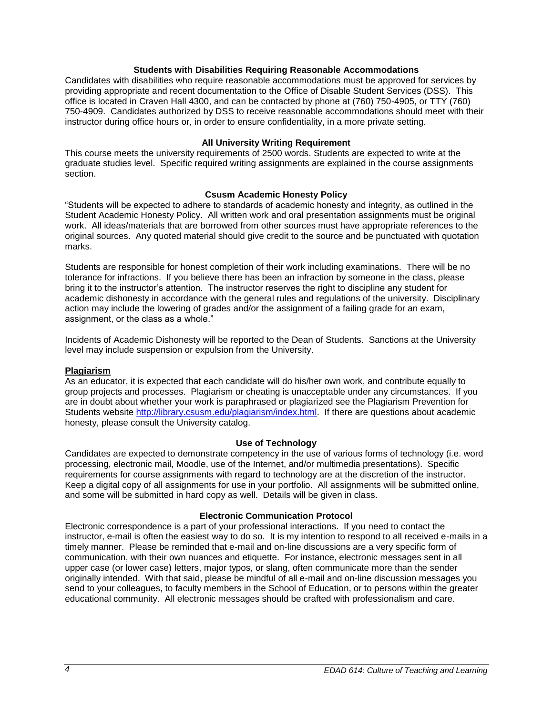## **Students with Disabilities Requiring Reasonable Accommodations**

Candidates with disabilities who require reasonable accommodations must be approved for services by providing appropriate and recent documentation to the Office of Disable Student Services (DSS). This office is located in Craven Hall 4300, and can be contacted by phone at (760) 750-4905, or TTY (760) 750-4909. Candidates authorized by DSS to receive reasonable accommodations should meet with their instructor during office hours or, in order to ensure confidentiality, in a more private setting.

## **All University Writing Requirement**

This course meets the university requirements of 2500 words. Students are expected to write at the graduate studies level. Specific required writing assignments are explained in the course assignments section.

# **Csusm Academic Honesty Policy**

"Students will be expected to adhere to standards of academic honesty and integrity, as outlined in the Student Academic Honesty Policy. All written work and oral presentation assignments must be original work. All ideas/materials that are borrowed from other sources must have appropriate references to the original sources. Any quoted material should give credit to the source and be punctuated with quotation marks.

Students are responsible for honest completion of their work including examinations. There will be no tolerance for infractions. If you believe there has been an infraction by someone in the class, please bring it to the instructor's attention. The instructor reserves the right to discipline any student for academic dishonesty in accordance with the general rules and regulations of the university. Disciplinary action may include the lowering of grades and/or the assignment of a failing grade for an exam, assignment, or the class as a whole."

Incidents of Academic Dishonesty will be reported to the Dean of Students. Sanctions at the University level may include suspension or expulsion from the University.

### **Plagiarism**

As an educator, it is expected that each candidate will do his/her own work, and contribute equally to group projects and processes. Plagiarism or cheating is unacceptable under any circumstances. If you are in doubt about whether your work is paraphrased or plagiarized see the Plagiarism Prevention for Students website [http://library.csusm.edu/plagiarism/index.html.](http://library.csusm.edu/plagiarism/index.html) If there are questions about academic honesty, please consult the University catalog.

### **Use of Technology**

Candidates are expected to demonstrate competency in the use of various forms of technology (i.e. word processing, electronic mail, Moodle, use of the Internet, and/or multimedia presentations). Specific requirements for course assignments with regard to technology are at the discretion of the instructor. Keep a digital copy of all assignments for use in your portfolio. All assignments will be submitted online, and some will be submitted in hard copy as well. Details will be given in class.

### **Electronic Communication Protocol**

Electronic correspondence is a part of your professional interactions. If you need to contact the instructor, e-mail is often the easiest way to do so. It is my intention to respond to all received e-mails in a timely manner. Please be reminded that e-mail and on-line discussions are a very specific form of communication, with their own nuances and etiquette. For instance, electronic messages sent in all upper case (or lower case) letters, major typos, or slang, often communicate more than the sender originally intended. With that said, please be mindful of all e-mail and on-line discussion messages you send to your colleagues, to faculty members in the School of Education, or to persons within the greater educational community. All electronic messages should be crafted with professionalism and care.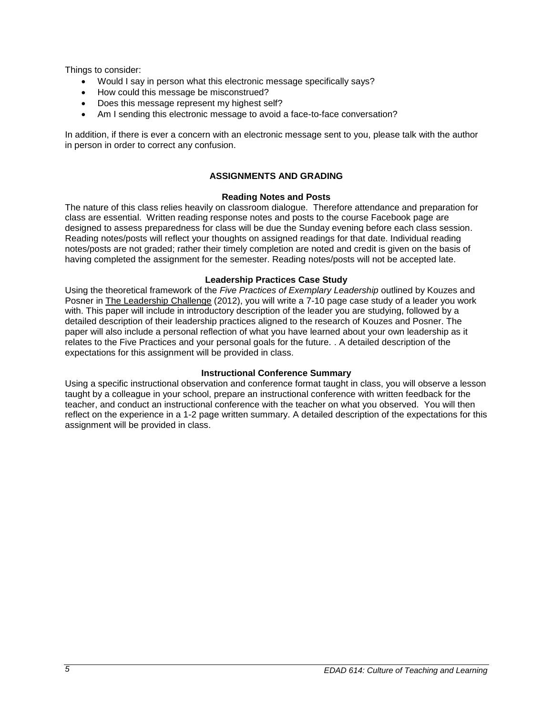Things to consider:

- Would I say in person what this electronic message specifically says?
- How could this message be misconstrued?
- Does this message represent my highest self?
- Am I sending this electronic message to avoid a face-to-face conversation?

In addition, if there is ever a concern with an electronic message sent to you, please talk with the author in person in order to correct any confusion.

# **ASSIGNMENTS AND GRADING**

## **Reading Notes and Posts**

The nature of this class relies heavily on classroom dialogue. Therefore attendance and preparation for class are essential. Written reading response notes and posts to the course Facebook page are designed to assess preparedness for class will be due the Sunday evening before each class session. Reading notes/posts will reflect your thoughts on assigned readings for that date. Individual reading notes/posts are not graded; rather their timely completion are noted and credit is given on the basis of having completed the assignment for the semester. Reading notes/posts will not be accepted late.

## **Leadership Practices Case Study**

Using the theoretical framework of the *Five Practices of Exemplary Leadership* outlined by Kouzes and Posner in The Leadership Challenge (2012), you will write a 7-10 page case study of a leader you work with. This paper will include in introductory description of the leader you are studying, followed by a detailed description of their leadership practices aligned to the research of Kouzes and Posner. The paper will also include a personal reflection of what you have learned about your own leadership as it relates to the Five Practices and your personal goals for the future. . A detailed description of the expectations for this assignment will be provided in class.

# **Instructional Conference Summary**

Using a specific instructional observation and conference format taught in class, you will observe a lesson taught by a colleague in your school, prepare an instructional conference with written feedback for the teacher, and conduct an instructional conference with the teacher on what you observed. You will then reflect on the experience in a 1-2 page written summary. A detailed description of the expectations for this assignment will be provided in class.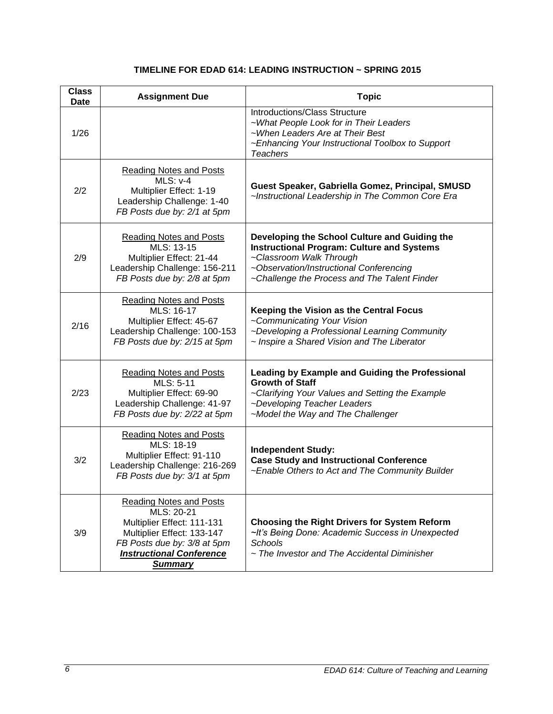# **TIMELINE FOR EDAD 614: LEADING INSTRUCTION ~ SPRING 2015**

| <b>Class</b><br>Date | <b>Assignment Due</b>                                                                                                                                                                        | <b>Topic</b>                                                                                                                                                                                                             |
|----------------------|----------------------------------------------------------------------------------------------------------------------------------------------------------------------------------------------|--------------------------------------------------------------------------------------------------------------------------------------------------------------------------------------------------------------------------|
| 1/26                 |                                                                                                                                                                                              | Introductions/Class Structure<br>~What People Look for in Their Leaders<br>~When Leaders Are at Their Best<br>~Enhancing Your Instructional Toolbox to Support<br><b>Teachers</b>                                        |
| 2/2                  | <b>Reading Notes and Posts</b><br>$MLS: v-4$<br>Multiplier Effect: 1-19<br>Leadership Challenge: 1-40<br>FB Posts due by: 2/1 at 5pm                                                         | Guest Speaker, Gabriella Gomez, Principal, SMUSD<br>~Instructional Leadership in The Common Core Era                                                                                                                     |
| 2/9                  | <b>Reading Notes and Posts</b><br>MLS: 13-15<br>Multiplier Effect: 21-44<br>Leadership Challenge: 156-211<br>FB Posts due by: 2/8 at 5pm                                                     | Developing the School Culture and Guiding the<br><b>Instructional Program: Culture and Systems</b><br>~Classroom Walk Through<br>~Observation/Instructional Conferencing<br>~Challenge the Process and The Talent Finder |
| 2/16                 | Reading Notes and Posts<br>MLS: 16-17<br>Multiplier Effect: 45-67<br>Leadership Challenge: 100-153<br>FB Posts due by: 2/15 at 5pm                                                           | Keeping the Vision as the Central Focus<br>~Communicating Your Vision<br>~Developing a Professional Learning Community<br>~ Inspire a Shared Vision and The Liberator                                                    |
| 2/23                 | <b>Reading Notes and Posts</b><br>MLS: 5-11<br>Multiplier Effect: 69-90<br>Leadership Challenge: 41-97<br>FB Posts due by: 2/22 at 5pm                                                       | Leading by Example and Guiding the Professional<br><b>Growth of Staff</b><br>~Clarifying Your Values and Setting the Example<br>~Developing Teacher Leaders<br>~Model the Way and The Challenger                         |
| 3/2                  | <b>Reading Notes and Posts</b><br>MLS: 18-19<br>Multiplier Effect: 91-110<br>Leadership Challenge: 216-269<br>FB Posts due by: 3/1 at 5pm                                                    | <b>Independent Study:</b><br><b>Case Study and Instructional Conference</b><br>~Enable Others to Act and The Community Builder                                                                                           |
| 3/9                  | <b>Reading Notes and Posts</b><br>MLS: 20-21<br>Multiplier Effect: 111-131<br>Multiplier Effect: 133-147<br>FB Posts due by: 3/8 at 5pm<br><b>Instructional Conference</b><br><b>Summary</b> | <b>Choosing the Right Drivers for System Reform</b><br>~It's Being Done: Academic Success in Unexpected<br><b>Schools</b><br>~ The Investor and The Accidental Diminisher                                                |